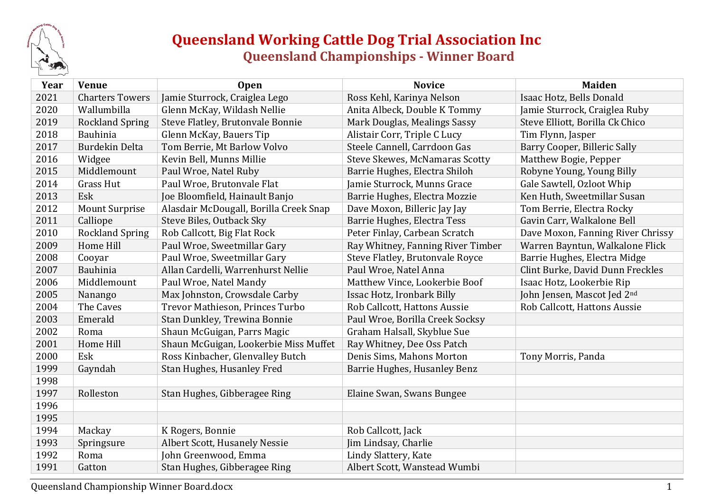

## **Queensland Working Cattle Dog Trial Association Inc Queensland Championships - Winner Board**

| Year | <b>Venue</b>           | <b>Open</b>                            | <b>Novice</b>                         | <b>Maiden</b>                     |
|------|------------------------|----------------------------------------|---------------------------------------|-----------------------------------|
| 2021 | <b>Charters Towers</b> | Jamie Sturrock, Craiglea Lego          | Ross Kehl, Karinya Nelson             | Isaac Hotz, Bells Donald          |
| 2020 | Wallumbilla            | Glenn McKay, Wildash Nellie            | Anita Albeck, Double K Tommy          | Jamie Sturrock, Craiglea Ruby     |
| 2019 | <b>Rockland Spring</b> | Steve Flatley, Brutonvale Bonnie       | Mark Douglas, Mealings Sassy          | Steve Elliott, Borilla Ck Chico   |
| 2018 | Bauhinia               | Glenn McKay, Bauers Tip                | Alistair Corr, Triple C Lucy          | Tim Flynn, Jasper                 |
| 2017 | <b>Burdekin Delta</b>  | Tom Berrie, Mt Barlow Volvo            | Steele Cannell, Carrdoon Gas          | Barry Cooper, Billeric Sally      |
| 2016 | Widgee                 | Kevin Bell, Munns Millie               | <b>Steve Skewes, McNamaras Scotty</b> | Matthew Bogie, Pepper             |
| 2015 | Middlemount            | Paul Wroe, Natel Ruby                  | Barrie Hughes, Electra Shiloh         | Robyne Young, Young Billy         |
| 2014 | <b>Grass Hut</b>       | Paul Wroe, Brutonvale Flat             | Jamie Sturrock, Munns Grace           | Gale Sawtell, Ozloot Whip         |
| 2013 | Esk                    | Joe Bloomfield, Hainault Banjo         | Barrie Hughes, Electra Mozzie         | Ken Huth, Sweetmillar Susan       |
| 2012 | <b>Mount Surprise</b>  | Alasdair McDougall, Borilla Creek Snap | Dave Moxon, Billeric Jay Jay          | Tom Berrie, Electra Rocky         |
| 2011 | Calliope               | Steve Biles, Outback Sky               | Barrie Hughes, Electra Tess           | Gavin Carr, Walkalone Bell        |
| 2010 | <b>Rockland Spring</b> | Rob Callcott, Big Flat Rock            | Peter Finlay, Carbean Scratch         | Dave Moxon, Fanning River Chrissy |
| 2009 | Home Hill              | Paul Wroe, Sweetmillar Gary            | Ray Whitney, Fanning River Timber     | Warren Bayntun, Walkalone Flick   |
| 2008 | Cooyar                 | Paul Wroe, Sweetmillar Gary            | Steve Flatley, Brutonvale Royce       | Barrie Hughes, Electra Midge      |
| 2007 | <b>Bauhinia</b>        | Allan Cardelli, Warrenhurst Nellie     | Paul Wroe, Natel Anna                 | Clint Burke, David Dunn Freckles  |
| 2006 | Middlemount            | Paul Wroe, Natel Mandy                 | Matthew Vince, Lookerbie Boof         | Isaac Hotz, Lookerbie Rip         |
| 2005 | Nanango                | Max Johnston, Crowsdale Carby          | Issac Hotz, Ironbark Billy            | John Jensen, Mascot Jed 2nd       |
| 2004 | The Caves              | Trevor Mathieson, Princes Turbo        | Rob Callcott, Hattons Aussie          | Rob Callcott, Hattons Aussie      |
| 2003 | Emerald                | Stan Dunkley, Trewina Bonnie           | Paul Wroe, Borilla Creek Socksy       |                                   |
| 2002 | Roma                   | Shaun McGuigan, Parrs Magic            | Graham Halsall, Skyblue Sue           |                                   |
| 2001 | Home Hill              | Shaun McGuigan, Lookerbie Miss Muffet  | Ray Whitney, Dee Oss Patch            |                                   |
| 2000 | Esk                    | Ross Kinbacher, Glenvalley Butch       | Denis Sims, Mahons Morton             | Tony Morris, Panda                |
| 1999 | Gayndah                | Stan Hughes, Husanley Fred             | Barrie Hughes, Husanley Benz          |                                   |
| 1998 |                        |                                        |                                       |                                   |
| 1997 | Rolleston              | Stan Hughes, Gibberagee Ring           | Elaine Swan, Swans Bungee             |                                   |
| 1996 |                        |                                        |                                       |                                   |
| 1995 |                        |                                        |                                       |                                   |
| 1994 | Mackay                 | K Rogers, Bonnie                       | Rob Callcott, Jack                    |                                   |
| 1993 | Springsure             | Albert Scott, Husanely Nessie          | Jim Lindsay, Charlie                  |                                   |
| 1992 | Roma                   | John Greenwood, Emma                   | Lindy Slattery, Kate                  |                                   |
| 1991 | Gatton                 | Stan Hughes, Gibberagee Ring           | Albert Scott, Wanstead Wumbi          |                                   |